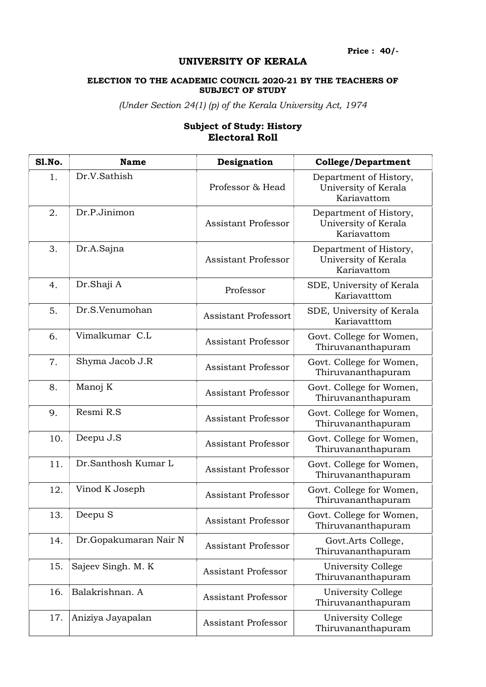## UNIVERSITY OF KERALA

## ELECTION TO THE ACADEMIC COUNCIL 2020-21 BY THE TEACHERS OF SUBJECT OF STUDY

(Under Section 24(1) (p) of the Kerala University Act, 1974

## Subject of Study: History Electoral Roll

| Sl.No. | <b>Name</b>           | Designation                 | <b>College/Department</b>                                     |
|--------|-----------------------|-----------------------------|---------------------------------------------------------------|
| 1.     | Dr.V.Sathish          | Professor & Head            | Department of History,<br>University of Kerala<br>Kariavattom |
| 2.     | Dr.P.Jinimon          | <b>Assistant Professor</b>  | Department of History,<br>University of Kerala<br>Kariavattom |
| 3.     | Dr.A.Sajna            | <b>Assistant Professor</b>  | Department of History,<br>University of Kerala<br>Kariavattom |
| 4.     | Dr.Shaji A            | Professor                   | SDE, University of Kerala<br>Kariavatttom                     |
| 5.     | Dr.S.Venumohan        | <b>Assistant Professort</b> | SDE, University of Kerala<br>Kariavatttom                     |
| 6.     | Vimalkumar C.L        | <b>Assistant Professor</b>  | Govt. College for Women,<br>Thiruvananthapuram                |
| 7.     | Shyma Jacob J.R       | <b>Assistant Professor</b>  | Govt. College for Women,<br>Thiruvananthapuram                |
| 8.     | Manoj K               | <b>Assistant Professor</b>  | Govt. College for Women,<br>Thiruvananthapuram                |
| 9.     | Resmi R.S             | <b>Assistant Professor</b>  | Govt. College for Women,<br>Thiruvananthapuram                |
| 10.    | Deepu J.S             | <b>Assistant Professor</b>  | Govt. College for Women,<br>Thiruvananthapuram                |
| 11.    | Dr.Santhosh Kumar L   | <b>Assistant Professor</b>  | Govt. College for Women,<br>Thiruvananthapuram                |
| 12.    | Vinod K Joseph        | <b>Assistant Professor</b>  | Govt. College for Women,<br>Thiruvananthapuram                |
| 13.    | Deepu S               | Assistant Professor         | Govt. College for Women,<br>Thiruvananthapuram                |
| 14.    | Dr.Gopakumaran Nair N | <b>Assistant Professor</b>  | Govt.Arts College,<br>Thiruvananthapuram                      |
| 15.    | Sajeev Singh. M. K    | <b>Assistant Professor</b>  | University College<br>Thiruvananthapuram                      |
| 16.    | Balakrishnan. A       | <b>Assistant Professor</b>  | University College<br>Thiruvananthapuram                      |
| 17.    | Aniziya Jayapalan     | <b>Assistant Professor</b>  | University College<br>Thiruvananthapuram                      |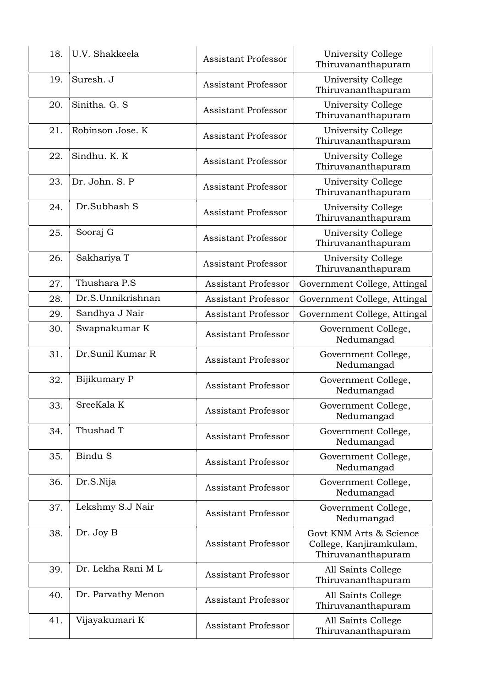| 18. | U.V. Shakkeela     | <b>Assistant Professor</b> | University College<br>Thiruvananthapuram                                 |
|-----|--------------------|----------------------------|--------------------------------------------------------------------------|
| 19. | Suresh. J          | <b>Assistant Professor</b> | University College<br>Thiruvananthapuram                                 |
| 20. | Sinitha, G. S.     | <b>Assistant Professor</b> | University College<br>Thiruvananthapuram                                 |
| 21. | Robinson Jose. K   | Assistant Professor        | University College<br>Thiruvananthapuram                                 |
| 22. | Sindhu. K. K       | <b>Assistant Professor</b> | University College<br>Thiruvananthapuram                                 |
| 23. | Dr. John. S. P     | <b>Assistant Professor</b> | University College<br>Thiruvananthapuram                                 |
| 24. | Dr.Subhash S       | <b>Assistant Professor</b> | University College<br>Thiruvananthapuram                                 |
| 25. | Sooraj G           | <b>Assistant Professor</b> | University College<br>Thiruvananthapuram                                 |
| 26. | Sakhariya T        | <b>Assistant Professor</b> | University College<br>Thiruvananthapuram                                 |
| 27. | Thushara P.S       | <b>Assistant Professor</b> | Government College, Attingal                                             |
| 28. | Dr.S.Unnikrishnan  | Assistant Professor        | Government College, Attingal                                             |
| 29. | Sandhya J Nair     | <b>Assistant Professor</b> | Government College, Attingal                                             |
| 30. | Swapnakumar K      | <b>Assistant Professor</b> | Government College,<br>Nedumangad                                        |
| 31. | Dr.Sunil Kumar R   | <b>Assistant Professor</b> | Government College,<br>Nedumangad                                        |
| 32. | Bijikumary P       | <b>Assistant Professor</b> | Government College,<br>Nedumangad                                        |
| 33. | SreeKala K         | Assistant Professor        | Government College,<br>Nedumangad                                        |
| 34. | Thushad T          | <b>Assistant Professor</b> | Government College,<br>Nedumangad                                        |
| 35. | Bindu S            | <b>Assistant Professor</b> | Government College,<br>Nedumangad                                        |
| 36. | Dr.S.Nija          | Assistant Professor        | Government College,<br>Nedumangad                                        |
| 37. | Lekshmy S.J Nair   | <b>Assistant Professor</b> | Government College,<br>Nedumangad                                        |
| 38. | Dr. Joy B          | <b>Assistant Professor</b> | Govt KNM Arts & Science<br>College, Kanjiramkulam,<br>Thiruvananthapuram |
| 39. | Dr. Lekha Rani M L | <b>Assistant Professor</b> | All Saints College<br>Thiruvananthapuram                                 |
| 40. | Dr. Parvathy Menon | <b>Assistant Professor</b> | All Saints College<br>Thiruvananthapuram                                 |
| 41. | Vijayakumari K     | Assistant Professor        | All Saints College<br>Thiruvananthapuram                                 |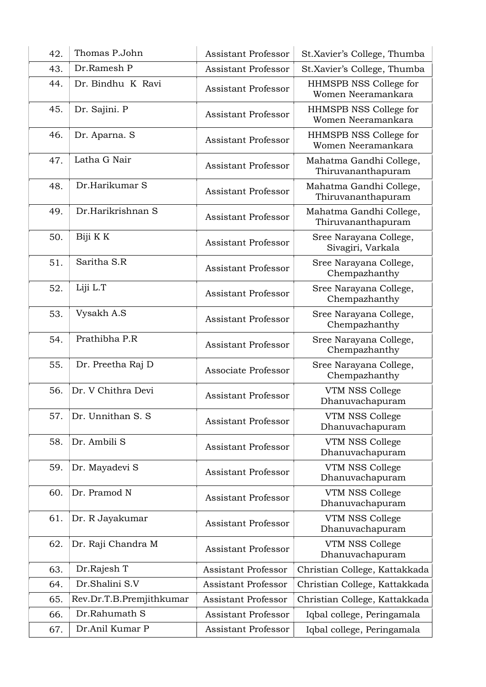| 42. | Thomas P.John            | Assistant Professor        | St.Xavier's College, Thumba                   |
|-----|--------------------------|----------------------------|-----------------------------------------------|
| 43. | Dr.Ramesh P              | <b>Assistant Professor</b> | St.Xavier's College, Thumba                   |
| 44. | Dr. Bindhu K Ravi        | Assistant Professor        | HHMSPB NSS College for<br>Women Neeramankara  |
| 45. | Dr. Sajini. P            | <b>Assistant Professor</b> | HHMSPB NSS College for<br>Women Neeramankara  |
| 46. | Dr. Aparna. S            | <b>Assistant Professor</b> | HHMSPB NSS College for<br>Women Neeramankara  |
| 47. | Latha G Nair             | <b>Assistant Professor</b> | Mahatma Gandhi College,<br>Thiruvananthapuram |
| 48. | Dr.Harikumar S           | <b>Assistant Professor</b> | Mahatma Gandhi College,<br>Thiruvananthapuram |
| 49. | Dr.Harikrishnan S        | <b>Assistant Professor</b> | Mahatma Gandhi College,<br>Thiruvananthapuram |
| 50. | Biji K K                 | <b>Assistant Professor</b> | Sree Narayana College,<br>Sivagiri, Varkala   |
| 51. | Saritha S.R              | <b>Assistant Professor</b> | Sree Narayana College,<br>Chempazhanthy       |
| 52. | Liji L.T                 | <b>Assistant Professor</b> | Sree Narayana College,<br>Chempazhanthy       |
| 53. | Vysakh A.S               | <b>Assistant Professor</b> | Sree Narayana College,<br>Chempazhanthy       |
| 54. | Prathibha P.R            | <b>Assistant Professor</b> | Sree Narayana College,<br>Chempazhanthy       |
| 55. | Dr. Preetha Raj D        | Associate Professor        | Sree Narayana College,<br>Chempazhanthy       |
| 56. | Dr. V Chithra Devi       | Assistant Professor        | VTM NSS College<br>Dhanuvachapuram            |
| 57. | Dr. Unnithan S. S.       | <b>Assistant Professor</b> | VTM NSS College<br>Dhanuvachapuram            |
| 58. | Dr. Ambili S             | Assistant Professor        | VTM NSS College<br>Dhanuvachapuram            |
| 59. | Dr. Mayadevi S           | <b>Assistant Professor</b> | VTM NSS College<br>Dhanuvachapuram            |
| 60. | Dr. Pramod N             | <b>Assistant Professor</b> | VTM NSS College<br>Dhanuvachapuram            |
| 61. | Dr. R Jayakumar          | Assistant Professor        | VTM NSS College<br>Dhanuvachapuram            |
| 62. | Dr. Raji Chandra M       | Assistant Professor        | VTM NSS College<br>Dhanuvachapuram            |
| 63. | Dr.Rajesh T              | <b>Assistant Professor</b> | Christian College, Kattakkada                 |
| 64. | Dr.Shalini S.V           | <b>Assistant Professor</b> | Christian College, Kattakkada                 |
| 65. | Rev.Dr.T.B.Premjithkumar | <b>Assistant Professor</b> | Christian College, Kattakkada                 |
| 66. | Dr.Rahumath S            | Assistant Professor        | Iqbal college, Peringamala                    |
| 67. | Dr.Anil Kumar P          | Assistant Professor        | Iqbal college, Peringamala                    |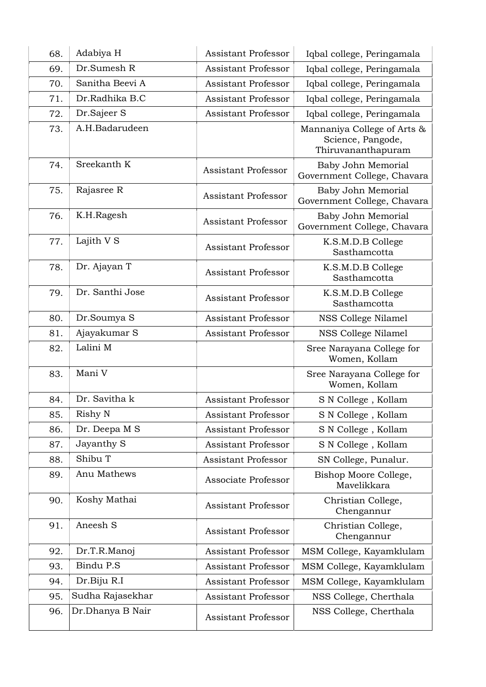| 68. | Adabiya H        | Assistant Professor        | Iqbal college, Peringamala                                             |
|-----|------------------|----------------------------|------------------------------------------------------------------------|
| 69. | Dr.Sumesh R      | Assistant Professor        | Iqbal college, Peringamala                                             |
| 70. | Sanitha Beevi A  | <b>Assistant Professor</b> | Iqbal college, Peringamala                                             |
| 71. | Dr.Radhika B.C   | <b>Assistant Professor</b> | Iqbal college, Peringamala                                             |
| 72. | Dr.Sajeer S      | Assistant Professor        | Iqbal college, Peringamala                                             |
| 73. | A.H.Badarudeen   |                            | Mannaniya College of Arts &<br>Science, Pangode,<br>Thiruvananthapuram |
| 74. | Sreekanth K      | <b>Assistant Professor</b> | Baby John Memorial<br>Government College, Chavara                      |
| 75. | Rajasree R       | <b>Assistant Professor</b> | Baby John Memorial<br>Government College, Chavara                      |
| 76. | K.H.Ragesh       | <b>Assistant Professor</b> | Baby John Memorial<br>Government College, Chavara                      |
| 77. | Lajith V S       | <b>Assistant Professor</b> | K.S.M.D.B College<br>Sasthamcotta                                      |
| 78. | Dr. Ajayan T     | <b>Assistant Professor</b> | K.S.M.D.B College<br>Sasthamcotta                                      |
| 79. | Dr. Santhi Jose  | Assistant Professor        | K.S.M.D.B College<br>Sasthamcotta                                      |
| 80. | Dr.Soumya S      | <b>Assistant Professor</b> | NSS College Nilamel                                                    |
| 81. | Ajayakumar S     | <b>Assistant Professor</b> | NSS College Nilamel                                                    |
| 82. | Lalini M         |                            | Sree Narayana College for<br>Women, Kollam                             |
| 83. | Mani V           |                            | Sree Narayana College for<br>Women, Kollam                             |
|     |                  |                            |                                                                        |
| 84. | Dr. Savitha k    | <b>Assistant Professor</b> | S N College, Kollam                                                    |
| 85. | Rishy N          | Assistant Professor        | ${\rm S}$ N College , Kollam                                           |
| 86. | Dr. Deepa M S    | Assistant Professor        | S N College, Kollam                                                    |
| 87. | Jayanthy S       | Assistant Professor        | S N College, Kollam                                                    |
| 88. | Shibu T          | <b>Assistant Professor</b> | SN College, Punalur.                                                   |
| 89. | Anu Mathews      | Associate Professor        | Bishop Moore College,<br>Mavelikkara                                   |
| 90. | Koshy Mathai     | <b>Assistant Professor</b> | Christian College,<br>Chengannur                                       |
| 91. | Aneesh S         | <b>Assistant Professor</b> | Christian College,<br>Chengannur                                       |
| 92. | Dr.T.R.Manoj     | <b>Assistant Professor</b> | MSM College, Kayamklulam                                               |
| 93. | Bindu P.S        | <b>Assistant Professor</b> | MSM College, Kayamklulam                                               |
| 94. | Dr.Biju R.I      | Assistant Professor        | MSM College, Kayamklulam                                               |
| 95. | Sudha Rajasekhar | <b>Assistant Professor</b> | NSS College, Cherthala                                                 |